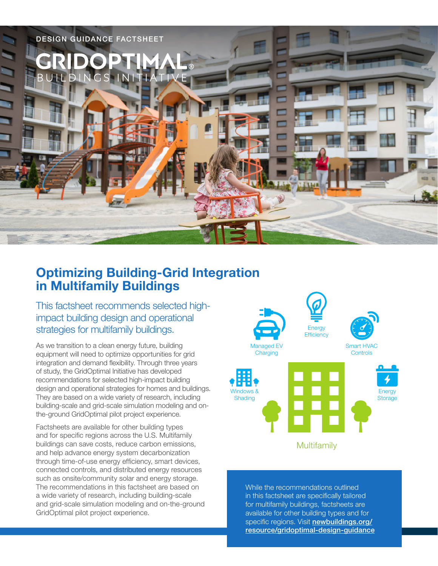

# **Optimizing Building-Grid Integration in Multifamily Buildings**

This factsheet recommends selected highimpact building design and operational strategies for multifamily buildings.

As we transition to a clean energy future, building equipment will need to optimize opportunities for grid integration and demand flexibility. Through three years of study, the GridOptimal Initiative has developed recommendations for selected high-impact building design and operational strategies for homes and buildings. They are based on a wide variety of research, including building-scale and grid-scale simulation modeling and onthe-ground GridOptimal pilot project experience.

Factsheets are available for other building types and for specific regions across the U.S. Multifamily buildings can save costs, reduce carbon emissions, and help advance energy system decarbonization through time-of-use energy efficiency, smart devices, connected controls, and distributed energy resources such as onsite/community solar and energy storage. The recommendations in this factsheet are based on a wide variety of research, including building-scale and grid-scale simulation modeling and on-the-ground GridOptimal pilot project experience.



While the recommendations outlined in this factsheet are specifically tailored for multifamily buildings, factsheets are available for other building types and for specific regions. Visit [newbuildings.org/](https://newbuildings.org/resource/gridoptimal-design-guidance) [resource/gridoptimal-design-guidance](https://newbuildings.org/resource/gridoptimal-design-guidance)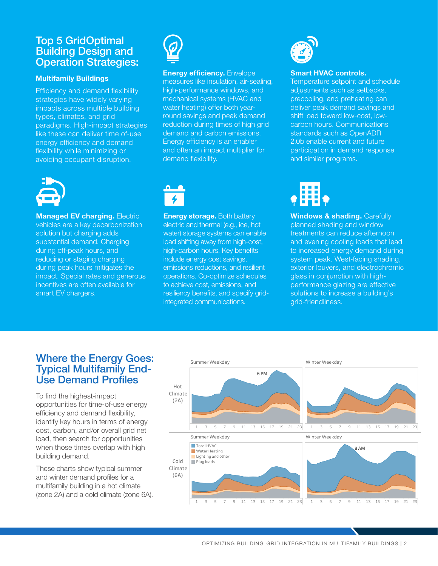# Top 5 GridOptimal Building Design and Operation Strategies:

#### **Multifamily Buildings**

Efficiency and demand flexibility strategies have widely varying impacts across multiple building types, climates, and grid paradigms. High-impact strategies like these can deliver time of-use energy efficiency and demand flexibility while minimizing or avoiding occupant disruption.



**Managed EV charging. Electric** vehicles are a key decarbonization solution but charging adds substantial demand. Charging during off-peak hours, and reducing or staging charging during peak hours mitigates the impact. Special rates and generous incentives are often available for smart EV chargers.



## **Energy efficiency.** Envelope measures like insulation, air-sealing,

high-performance windows, and mechanical systems (HVAC and water heating) offer both yearround savings and peak demand reduction during times of high grid demand and carbon emissions. Energy efficiency is an enabler and often an impact multiplier for demand flexibility.



**Energy storage.** Both battery electric and thermal (e.g., ice, hot water) storage systems can enable load shifting away from high-cost, high-carbon hours. Key benefits include energy cost savings, emissions reductions, and resilient operations. Co-optimize schedules to achieve cost, emissions, and resiliency benefits, and specify gridintegrated communications.



#### **Smart HVAC controls.**

Temperature setpoint and schedule adjustments such as setbacks, precooling, and preheating can deliver peak demand savings and shift load toward low-cost, lowcarbon hours. Communications standards such as OpenADR 2.0b enable current and future participation in demand response and similar programs.



**Windows & shading. Carefully** planned shading and window treatments can reduce afternoon and evening cooling loads that lead to increased energy demand during system peak. West-facing shading, exterior louvers, and electrochromic glass in conjunction with highperformance glazing are effective solutions to increase a building's grid-friendliness.

# Where the Energy Goes: Typical Multifamily End-Use Demand Profiles

To find the highest-impact opportunities for time-of-use energy efficiency and demand flexibility, identify key hours in terms of energy cost, carbon, and/or overall grid net load, then search for opportunities when those times overlap with high building demand.

These charts show typical summer and winter demand profiles for a multifamily building in a hot climate (zone 2A) and a cold climate (zone 6A).



OPTIMIZING BUILDING-GRID INTEGRATION IN MULTIFAMILY BUILDINGS | 2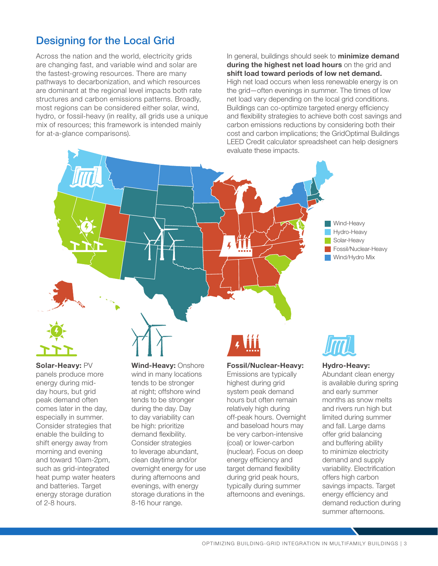# Designing for the Local Grid

Across the nation and the world, electricity grids are changing fast, and variable wind and solar are the fastest-growing resources. There are many pathways to decarbonization, and which resources are dominant at the regional level impacts both rate structures and carbon emissions patterns. Broadly, most regions can be considered either solar, wind, hydro, or fossil-heavy (in reality, all grids use a unique mix of resources; this framework is intended mainly for at-a-glance comparisons).

In general, buildings should seek to **minimize demand during the highest net load hours** on the grid and **shift load toward periods of low net demand.** High net load occurs when less renewable energy is on the grid—often evenings in summer. The times of low net load vary depending on the local grid conditions. Buildings can co-optimize targeted energy efficiency and flexibility strategies to achieve both cost savings and carbon emissions reductions by considering both their cost and carbon implications; the GridOptimal Buildings LEED Credit calculator spreadsheet can help designers evaluate these impacts.





**Solar-Heavy:** PV panels produce more energy during midday hours, but grid peak demand often comes later in the day, especially in summer. Consider strategies that enable the building to shift energy away from morning and evening and toward 10am-2pm, such as grid-integrated heat pump water heaters and batteries. Target energy storage duration of 2-8 hours.

**Wind-Heavy:** Onshore wind in many locations tends to be stronger at night; offshore wind tends to be stronger during the day. Day to day variability can be high: prioritize demand flexibility. Consider strategies to leverage abundant, clean daytime and/or overnight energy for use during afternoons and evenings, with energy storage durations in the 8-16 hour range.

#### **Fossil/Nuclear-Heavy:**

Emissions are typically highest during grid system peak demand hours but often remain relatively high during off-peak hours. Overnight and baseload hours may be very carbon-intensive (coal) or lower-carbon (nuclear). Focus on deep energy efficiency and target demand flexibility during grid peak hours, typically during summer afternoons and evenings.



#### **Hydro-Heavy:**

Abundant clean energy is available during spring and early summer months as snow melts and rivers run high but limited during summer and fall. Large dams offer grid balancing and buffering ability to minimize electricity demand and supply variability. Electrification offers high carbon savings impacts. Target energy efficiency and demand reduction during summer afternoons.